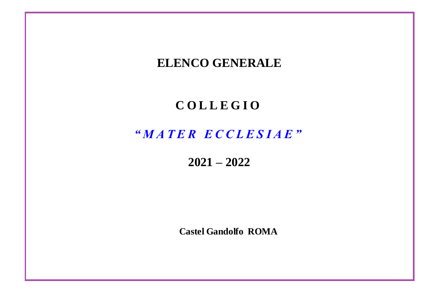## **ELENCO GENERALE C O L L E G I O** *" M A T E R E C C L E S I A E "* **2021 – 2022 Castel Gandolfo ROMA**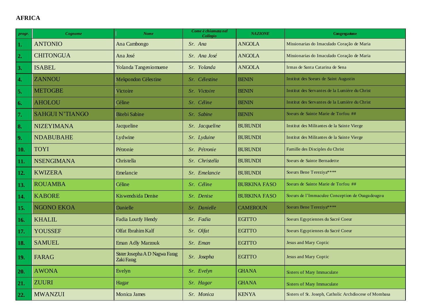## **AFRICA**

| progr.             | Cognome                | <b>Nome</b>                                  | Come è chiamata nel<br>Collegio | <b>NAZIONE</b>      | Congregazione                                          |
|--------------------|------------------------|----------------------------------------------|---------------------------------|---------------------|--------------------------------------------------------|
| 1.                 | <b>ANTONIO</b>         | Ana Cambongo                                 | Sr. Ana                         | <b>ANGOLA</b>       | Missionarias do Imaculado Coração de Maria             |
| 2.                 | <b>CHITONGUA</b>       | Ana José                                     | Sr. Ana José                    | <b>ANGOLA</b>       | Missionarias do Imaculado Coração de Maria             |
| 3.                 | <b>ISABEL</b>          | Yolanda Tangeniomuene                        | Sr. Yolanda                     | <b>ANGOLA</b>       | Irmas de Santa Catarina de Sena                        |
| $\boldsymbol{4}$ . | <b>ZANNOU</b>          | Mekpondon Célestine                          | Sr. Célestine                   | <b>BENIN</b>        | Institut des Soeurs de Saint Augustin                  |
| 5.                 | <b>METOGBE</b>         | Victoire                                     | Sr. Victoire                    | <b>BENIN</b>        | Institut des Servantes de la Lumière du Christ         |
| 6.                 | <b>AHOLOU</b>          | Céline                                       | Sr. Céline                      | <b>BENIN</b>        | Institut des Servantes de la Lumière du Christ         |
| 7.                 | <b>SAHGUI N'TIANGO</b> | <b>Bitebi Sabine</b>                         | Sr. Sabine                      | <b>BENIN</b>        | Soeurs de Sainte Marie de Torfou ##                    |
| 8.                 | <b>NIZEYIMANA</b>      | Jacqueline                                   | Sr. Jacqueline                  | <b>BURUNDI</b>      | Institut des Militantes de la Sainte Vierge            |
| 9.                 | <b>NDABUBAHE</b>       | Lydwine                                      | Sr. Lyduine                     | <b>BURUNDI</b>      | Institut des Militantes de la Sainte Vierge            |
| 10.                | <b>TOYI</b>            | Pétronie                                     | Sr. Pétronie                    | <b>BURUNDI</b>      | Famille des Disciples du Christ                        |
| 11.                | <b>NSENGIMANA</b>      | Christella                                   | Sr. Christella                  | <b>BURUNDI</b>      | Soe urs de Sainte Bernadette                           |
| 12.                | <b>KWIZERA</b>         | Emelancie                                    | Sr. Emelancie                   | <b>BURUNDI</b>      | Soeurs Bene Tereziya****                               |
| 13.                | <b>ROUAMBA</b>         | Céline                                       | Sr. Céline                      | <b>BURKINA FASO</b> | Soe urs de Sainte Marie de Torfou ##                   |
| 14.                | <b>KABORE</b>          | Kiswendsida Denise                           | Sr. Denise                      | <b>BURKINA FASO</b> | Soe urs de l'Immaculee Conception de Ouaga dougo u     |
| 15.                | <b>NGONO EKOA</b>      | Danielle                                     | Sr. Danielle                    | <b>CAMEROUN</b>     | Soeurs Bene Tereziya****                               |
| 16.                | <b>KHALIL</b>          | Fadia Loutfy Hendy                           | Sr. Fadia                       | <b>EGITTO</b>       | Soe urs Egyptiennes du Sacré Coeur                     |
| 17.                | <b>YOUSSEF</b>         | Olfat Ibrahim Kalf                           | Sr. Olfat                       | <b>EGITTO</b>       | Soeurs Egyptiennes du Sacré Coeur                      |
| 18.                | <b>SAMUEL</b>          | Eman Adly Marzouk                            | Sr. Eman                        | <b>EGITTO</b>       | Jesus and Mary Coptic                                  |
| 19.                | <b>FARAG</b>           | Sister Josepha A D Nagwa Farag<br>Zaki Farag | Sr. Josepha                     | <b>EGITTO</b>       | Jesus and Mary Coptic                                  |
| 20.                | <b>AWONA</b>           | Evelyn                                       | Sr. Evelyn                      | <b>GHANA</b>        | Sisters of Mary Immaculate                             |
| 21.                | <b>ZUURI</b>           | Hagar                                        | Sr. Hagar                       | <b>GHANA</b>        | Sisters of Mary Immaculate                             |
| 22.                | <b>MWANZUI</b>         | Monica James                                 | Sr. Monica                      | <b>KENYA</b>        | Sisters of St. Joseph, Catholic Archdiocese of Mombasa |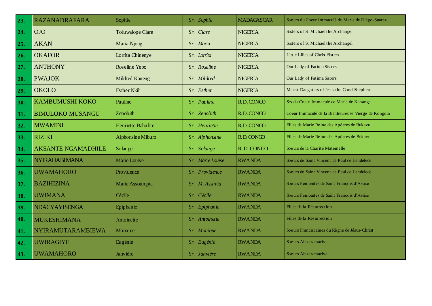| 23. | <b>RAZANADRAFARA</b>      | Sophie                  | Sr. Sophie       | <b>MADAGASCAR</b> | Soe urs du Coeur Immaculé du Marie de Diégo-Suarez  |
|-----|---------------------------|-------------------------|------------------|-------------------|-----------------------------------------------------|
| 24. | <b>OIO</b>                | <b>Toluwalope Clare</b> | Sr. Clare        | <b>NIGERIA</b>    | Sisters of St Michael the Archangel                 |
| 25. | <b>AKAN</b>               | Maria Njong             | Sr. Maria        | <b>NIGERIA</b>    | Sisters of St Michael the Archangel                 |
| 26. | <b>OKAFOR</b>             | Lorrita Chinenye        | Sr. Lorrita      | <b>NIGERIA</b>    | Little Lilies of Christ Sisters                     |
| 27. | <b>ANTHONY</b>            | Roseline Yebo           | Sr. Roseline     | <b>NIGERIA</b>    | Our Lady of Fatima Sisters                          |
| 28. | <b>PWAJOK</b>             | <b>Mildred Kaneng</b>   | Sr. Mildred      | <b>NIGERIA</b>    | Our Lady of Fatima Sisters                          |
| 29. | <b>OKOLO</b>              | <b>Esther Nkili</b>     | Sr. Esther       | <b>NIGERIA</b>    | Marist Daughters of Jesus the Good Shepherd         |
| 30. | <b>KAMBUMUSHI KOKO</b>    | Pauline                 | Sr. Pauline      | R.D.CONGO         | Srs du Coeur Immaculé de Marie de Kananga           |
| 31. | <b>BIMULOKO MUSANGU</b>   | Zenobith                | Sr. Zenobith     | R.D.CONGO         | Coeur Immaculé de la Bienheureuse Vierge de Kongolo |
| 32. | <b>MWAMINI</b>            | Henriette Bahufite      | Sr. Henriette    | R.D.CONGO         | Filles de Marie Reine des Apôtres de Bukavu         |
| 33. | <b>RIZIKI</b>             | Alphons ine Miburo      | Sr. Alphonsine   | R.D.CONGO         | Filles de Marie Reine des Apôtres de Bukavu         |
| 34. | <b>AKSANTE NGAMADHILE</b> | Solange                 | Sr. Solange      | R.D.CONGO         | Soeurs de la Charité Matemelle                      |
| 35. | <b>NYIRAHABIMANA</b>      | Marie Louise            | Sr. Marie Louise | <b>RWANDA</b>     | Soe urs de Saint Vincent de Paul de Lendelede       |
| 36. | <b>UWAMAHORO</b>          | Providence              | Sr. Providence   | <b>RWANDA</b>     | Soe urs de Saint Vincent de Paul de Lendelede       |
| 37. | <b>BAZIHIZINA</b>         | Marie Assoumpta         | Sr. M. Assunta   | <b>RWANDA</b>     | Soeurs Penitentes de Saint François d'Assise        |
| 38. | <b>UWIMANA</b>            | Cécile                  | Sr. Cécile       | <b>RWANDA</b>     | Soeurs Penitentes de Saint François d'Assise        |
| 39. | <b>NDACYAYISENGA</b>      | Epiphanie               | Sr. Epiphanie    | <b>RWANDA</b>     | Filles de la Résurrection                           |
| 40. | <b>MUKESHIMANA</b>        | Antoinette              | Sr. Antoinette   | <b>RWANDA</b>     | Filles de la Résurrection                           |
| 41. | <b>NYIRAMUTARAMBIEWA</b>  | Monique                 | Sr. Monique      | <b>RWANDA</b>     | Soe urs Franciscaines du Règne de Jésus-Christ      |
| 42. | <b>UWIRAGIYE</b>          | Eugénie                 | Sr. Eugénie      | <b>RWANDA</b>     | Soeurs Abizeramariya                                |
| 43. | <b>UWAMAHORO</b>          | Janvière                | Sr. Janvière     | <b>RWANDA</b>     | Soeurs Abizeramariya                                |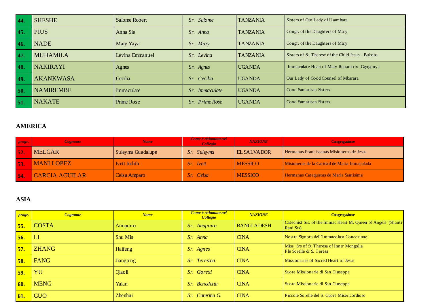| 44.        | <b>SHESHE</b>    | <b>Salome Robert</b> | Sr. Salome            | <b>TANZANIA</b> | Sisters of Our Lady of Usambara                    |
|------------|------------------|----------------------|-----------------------|-----------------|----------------------------------------------------|
| 45.        | <b>PIUS</b>      | Anna Sie             | Sr. Anna              | <b>TANZANIA</b> | Congr. of the Daughters of Mary                    |
| 46.        | <b>NADE</b>      | Mary Yaya            | Sr. Mary              | <b>TANZANIA</b> | Congr. of the Daughters of Mary                    |
| 47.        | <b>MUHAMILA</b>  | Levina Emmanuel      | Sr. Levina            | <b>TANZANIA</b> | Sisters of St. Therese of the Child Jesus - Bukoba |
| 48.        | <b>NAKIRAYI</b>  | Agnes                | Sr. Agnes             | <b>UGANDA</b>   | Immaculate Heart of Mary Reparatrix- Ggogonya      |
| <b>49.</b> | <b>AKANKWASA</b> | Cecilia              | Sr. Cecilia           | <b>UGANDA</b>   | Our Lady of Good Counsel of Mbarara                |
| 50.        | <b>NAMIREMBE</b> | Immaculate           | Sr. Immaculate        | <b>UGANDA</b>   | Good Samaritan Sisters                             |
| 51.        | <b>NAKATE</b>    | Prime Rose           | <i>Sr.</i> Prime Rose | <b>UGANDA</b>   | Good Samaritan Sisters                             |

## **AMERICA**

| progr. | <i>Cognome</i>        | Nome              | Come è chiamata nel<br>Collegio | <b>NAZIONE</b>     | <b>Congregazione</b>                         |
|--------|-----------------------|-------------------|---------------------------------|--------------------|----------------------------------------------|
| 52.    | <b>MELGAR</b>         | Suleyma Guadalupe | Sr. Suleyma                     | <b>EL SALVADOR</b> | Hermanas Franciscanas Misioneras de Jesus    |
| 53.    | <b>MANI LOPEZ</b>     | Ivett Judith      | <i>Sr. Ivett</i>                | <b>MESSICO</b>     | Misioneras de la Caridad de Maria Inmaculada |
| 54.    | <b>GARCIA AGUILAR</b> | Celsa Amparo      | <i>Sr.</i> Celsa                | <b>MESSICO</b>     | Hermanas Catequistas de Maria Santisima      |

## **ASIA**

| progr. | <b>Cognome</b> | <b>Nome</b>      | Come è chiamata nel<br><b>Collegio</b> | <b>NAZIONE</b>    | <b>Congregazione</b>                                                      |
|--------|----------------|------------------|----------------------------------------|-------------------|---------------------------------------------------------------------------|
| 55.    | <b>COSTA</b>   | Anupoma          | Sr. Anupoma                            | <b>BANGLADESH</b> | Catechist Srs. of the Immac Heart M. Queen of Angels (Shanti<br>Rani Srs) |
| 56.    | <sub>LI</sub>  | Shu Min          | Sr. Anna                               | <b>CINA</b>       | Nostra Signora dell'Immacolata Concezione                                 |
| 57.    | <b>ZHANG</b>   | Haifeng          | <i>Sr. Agnes</i>                       | <b>CINA</b>       | Miss. Srs of St Theresa of Inner Mongolia<br>Ple Sorelle di S. Teresa     |
| 58.    | <b>FANG</b>    | <b>Jiangping</b> | Sr. Teresina                           | <b>CINA</b>       | Missionaries of Sacred Heart of Jesus                                     |
| 59.    | YU             | Qiaoli           | Sr. Goretti                            | <b>CINA</b>       | Suore Missionarie di San Giuseppe                                         |
| 60.    | <b>MENG</b>    | Yalan            | Sr. Benedetta                          | <b>CINA</b>       | Suore Missionarie di San Giuseppe                                         |
| 61.    | <b>GUO</b>     | Zhenhui          | Sr. Caterina G.                        | <b>CINA</b>       | Piccole Sorelle del S. Cuore Misericordioso                               |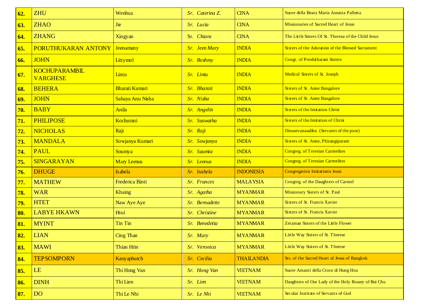| 62. | <b>ZHU</b>                              | Wenhua                 | Sr. Caterina Z.      | <b>CINA</b>       | Suore della Beata Maria Assunta Pallotta             |
|-----|-----------------------------------------|------------------------|----------------------|-------------------|------------------------------------------------------|
| 63. | <b>ZHAO</b>                             | <b>Jie</b>             | Sr. Lucia            | <b>CINA</b>       | Missionaries of Sacred Heart of Jesus                |
| 64. | <b>ZHANG</b>                            | Xingyan                | Sr. Chiara           | <b>CINA</b>       | The Little Sisters Of St. Theresa of the Child Jesus |
| 65. | <b>PORUTHUKARAN ANTONY</b>              | <b>Jeenamany</b>       | <b>Sr.</b> Jeen Mary | <b>INDIA</b>      | Sisters of the Adoration of the Blessed Sacrament    |
| 66. | <b>JOHN</b>                             | Littymol               | Sr. Reshmy           | <b>INDIA</b>      | <b>Congr. of Preshitharam Sisters</b>                |
| 67. | <b>KOCHUPARAMBIL</b><br><b>VARGHESE</b> | Lintu                  | Sr. Lintu            | <b>INDIA</b>      | Medical Sisters of St. Joseph                        |
| 68. | <b>BEHERA</b>                           | <b>Bharati Kumari</b>  | Sr. Bharati          | <b>INDIA</b>      | Sisters of St. Anne Bangalore                        |
| 69. | <b>JOHN</b>                             | Sahaya Anu Nisha       | Sr. Nisha            | <b>INDIA</b>      | Sisters of St. Anne Bangalore                        |
| 70. | <b>BABY</b>                             | Anila                  | Sr. Angelin          | <b>INDIA</b>      | Sisters of the Imitation Christ                      |
| 71. | <b>PHILIPOSE</b>                        | Kochurani              | Sr. Saswatha         | <b>INDIA</b>      | Sisters of the Imitation of Christ                   |
| 72. | <b>NICHOLAS</b>                         | Raji                   | Sr. Raji             | <b>INDIA</b>      | Dinasevanasabha (Servants of the poor)               |
| 73. | <b>MANDALA</b>                          | Sowjanya Kumari        | Sr. Sowjanya         | <b>INDIA</b>      | Sisters of St. Anne, Phirangipuram                   |
| 74. | <b>PAUL</b>                             | Soumya                 | Sr. Saumia           | <b>INDIA</b>      | <b>Congreg. of Teresian Carmelites</b>               |
| 75. | SINGARAYAN                              | <b>Mary Leenus</b>     | Sr. Leenus           | <b>INDIA</b>      | <b>Congreg. of Teresian Carmelites</b>               |
| 76. | <b>DHUGE</b>                            | <b>Is abela</b>        | Sr. Isabela          | <b>INDONESIA</b>  | <b>Congregation Imitationis Jesus</b>                |
| 77. | <b>MATHEW</b>                           | <b>Frederica Binti</b> | Sr. Frances          | <b>MALAYSIA</b>   | Congreg. of the Daughters of Carmel                  |
| 78. | <b>WAR</b>                              | <b>Khaing</b>          | Sr. Agatha           | <b>MYANMAR</b>    | Missionary Sisters of St. Paul                       |
| 79. | <b>HTET</b>                             | Naw Aye Aye            | Sr. Bemadette        | <b>MYANMAR</b>    | Sisters of St. Francis Xavier                        |
| 80. | <b>LABYE HKAWN</b>                      | Htoi                   | Sr. Christine        | <b>MYANMAR</b>    | Sisters of St. Francis Xavier                        |
| 81. | <b>MYINT</b>                            | Tin Tin                | Sr. Benedetta        | <b>MYANMAR</b>    | Zetaman Sisters of the Little Flower                 |
| 82. | <b>LIAN</b>                             | <b>Cing Than</b>       | Sr. Mary             | <b>MYANMAR</b>    | Little Way Sisters of St. Therese                    |
| 83. | <b>MAWI</b>                             | Thian Hrin             | Sr. Veronica         | <b>MYANMAR</b>    | Little Way Sisters of St. Therese                    |
| 84. | <b>TEPSOMPORN</b>                       | <b>Kany</b> aphutch    | Sr. Cecilia          | <b>THAILANDIA</b> | Srs. of the Sacred Heart of Jesus of Bangkok         |
| 85. | LE                                      | Thi Hong Van           | Sr. Hong Van         | <b>VIETNAM</b>    | Suore Amanti della Croce di Hung Hoa                 |
| 86. | <b>DINH</b>                             | Thi Lien               | Sr. Lien             | <b>VIETNAM</b>    | Daughters of Our Lady of the Holy Rosary of Bui Chu  |
| 87. | <b>DO</b>                               | Thi Le Nhi             | Sr. Le Nhi           | <b>VIETNAM</b>    | Secular Institute of Servants of God                 |